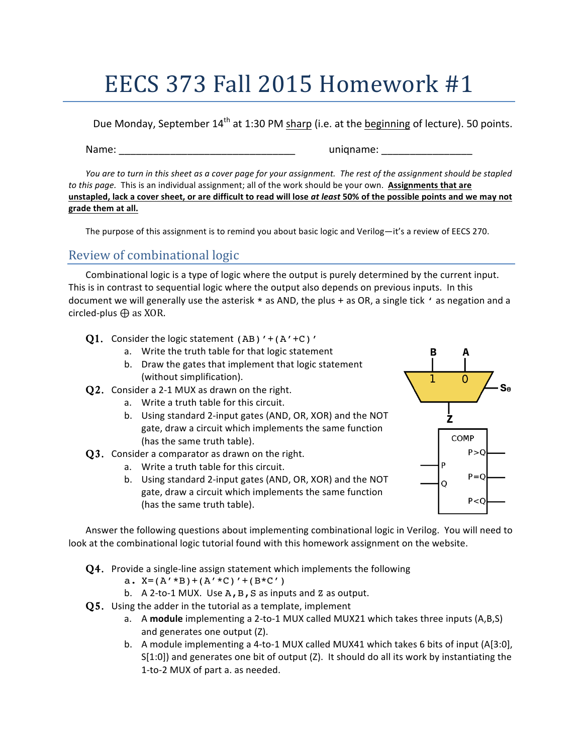## EECS 373 Fall 2015 Homework #1

Due Monday, September 14<sup>th</sup> at 1:30 PM sharp (i.e. at the beginning of lecture). 50 points.

Name: where the contract of the contract of the contract of the contract of the contract of the contract of the contract of the contract of the contract of the contract of the contract of the contract of the contract of th

*You* are to turn in this sheet as a cover page for your assignment. The rest of the assignment should be stapled *to* this page. This is an individual assignment; all of the work should be your own. Assignments that are unstapled, lack a cover sheet, or are difficult to read will lose at least 50% of the possible points and we may not **grade them at all.**

The purpose of this assignment is to remind you about basic logic and Verilog—it's a review of EECS 270.

## Review of combinational logic

Combinational logic is a type of logic where the output is purely determined by the current input. This is in contrast to sequential logic where the output also depends on previous inputs. In this document we will generally use the asterisk  $*$  as AND, the plus + as OR, a single tick  $\prime$  as negation and a circled-plus  $\bigoplus$  as XOR.

- **Q1.** Consider the logic statement (AB)  $' + (A' + C)'$ 
	- a. Write the truth table for that logic statement
	- b. Draw the gates that implement that logic statement (without simplification).
- $Q2.$  Consider a 2-1 MUX as drawn on the right.
	- a. Write a truth table for this circuit.
	- b. Using standard 2-input gates (AND, OR, XOR) and the NOT gate, draw a circuit which implements the same function (has the same truth table).
- $Q3.$  Consider a comparator as drawn on the right.
	- a. Write a truth table for this circuit.
	- b. Using standard 2-input gates (AND, OR, XOR) and the NOT gate, draw a circuit which implements the same function (has the same truth table).



Answer the following questions about implementing combinational logic in Verilog. You will need to look at the combinational logic tutorial found with this homework assignment on the website.

- $Q4.$  Provide a single-line assign statement which implements the following
	- a.  $X=(A' * B)+(A' * C)'+(B * C')$
	- b.  $A$  2-to-1 MUX. Use  $A$ ,  $B$ ,  $S$  as inputs and  $Z$  as output.
- $Q5.$  Using the adder in the tutorial as a template, implement
	- a. A module implementing a 2-to-1 MUX called MUX21 which takes three inputs (A,B,S) and generates one output (Z).
	- b. A module implementing a 4-to-1 MUX called MUX41 which takes 6 bits of input (A[3:0],  $S[1:0]$ ) and generates one bit of output (Z). It should do all its work by instantiating the 1-to-2 MUX of part a. as needed.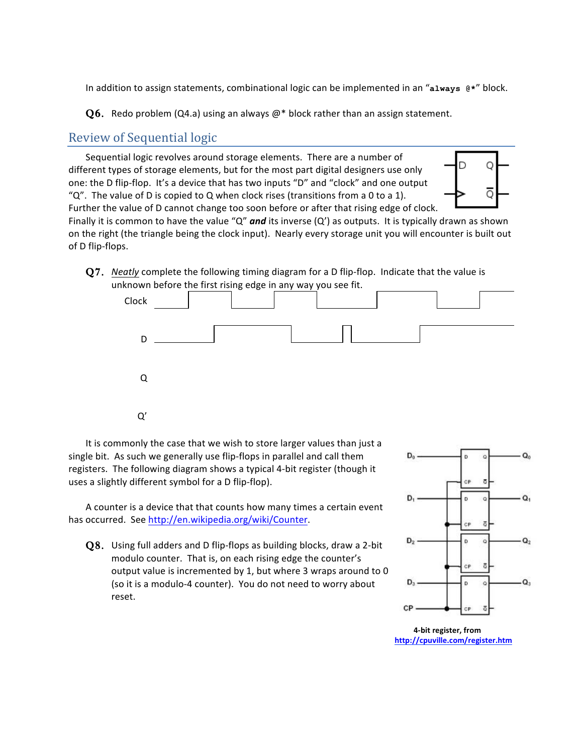In addition to assign statements, combinational logic can be implemented in an "always @\*" block.

**Q6.** Redo problem (Q4.a) using an always  $\mathcal{Q}^*$  block rather than an assign statement.

## Review of Sequential logic

Sequential logic revolves around storage elements. There are a number of different types of storage elements, but for the most part digital designers use only one: the D flip-flop. It's a device that has two inputs "D" and "clock" and one output " $Q''$ . The value of D is copied to Q when clock rises (transitions from a 0 to a 1). Further the value of D cannot change too soon before or after that rising edge of clock.



Finally it is common to have the value " $Q''$  and its inverse  $(Q')$  as outputs. It is typically drawn as shown on the right (the triangle being the clock input). Nearly every storage unit you will encounter is built out of D flip-flops.

Q7. *Neatly* complete the following timing diagram for a D flip-flop. Indicate that the value is unknown before the first rising edge in any way you see fit.



It is commonly the case that we wish to store larger values than just a single bit. As such we generally use flip-flops in parallel and call them registers. The following diagram shows a typical 4-bit register (though it uses a slightly different symbol for a D flip-flop).

A counter is a device that that counts how many times a certain event has occurred. See http://en.wikipedia.org/wiki/Counter.

 $Q8.$  Using full adders and D flip-flops as building blocks, draw a 2-bit modulo counter. That is, on each rising edge the counter's output value is incremented by 1, but where 3 wraps around to 0 (so it is a modulo-4 counter). You do not need to worry about reset.



**4-bit register, from http://cpuville.com/register.htm**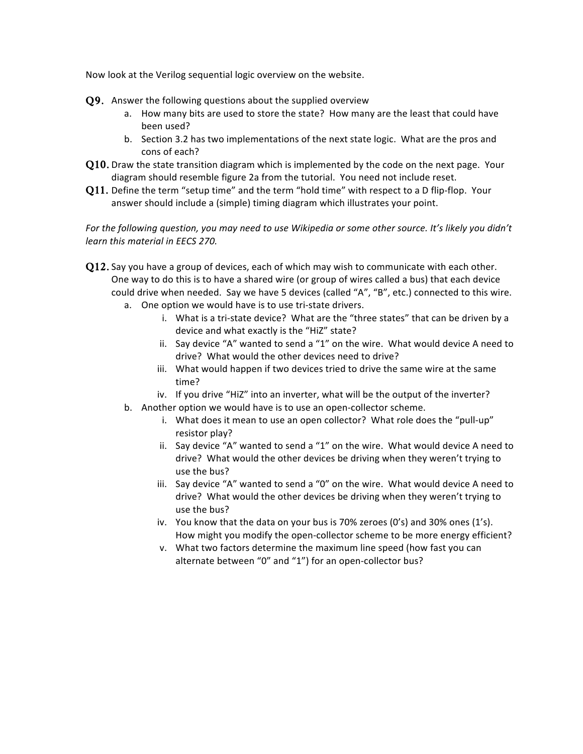Now look at the Verilog sequential logic overview on the website.

- $Q9.$  Answer the following questions about the supplied overview
	- a. How many bits are used to store the state? How many are the least that could have been used?
	- b. Section 3.2 has two implementations of the next state logic. What are the pros and cons of each?
- $Q10$ . Draw the state transition diagram which is implemented by the code on the next page. Your diagram should resemble figure 2a from the tutorial. You need not include reset.
- Q11. Define the term "setup time" and the term "hold time" with respect to a D flip-flop. Your answer should include a (simple) timing diagram which illustrates your point.

For the following question, you may need to use Wikipedia or some other source. It's likely you didn't *learn this material in EECS 270.* 

- $Q12$ . Say you have a group of devices, each of which may wish to communicate with each other. One way to do this is to have a shared wire (or group of wires called a bus) that each device could drive when needed. Say we have 5 devices (called "A", "B", etc.) connected to this wire.
	- a. One option we would have is to use tri-state drivers.
		- i. What is a tri-state device? What are the "three states" that can be driven by a device and what exactly is the "HiZ" state?
		- ii. Say device "A" wanted to send a "1" on the wire. What would device A need to drive? What would the other devices need to drive?
		- iii. What would happen if two devices tried to drive the same wire at the same time?
		- iv. If you drive "HiZ" into an inverter, what will be the output of the inverter?
	- b. Another option we would have is to use an open-collector scheme.
		- i. What does it mean to use an open collector? What role does the "pull-up" resistor play?
		- ii. Say device "A" wanted to send a "1" on the wire. What would device A need to drive? What would the other devices be driving when they weren't trying to use the bus?
		- iii. Say device "A" wanted to send a "0" on the wire. What would device A need to drive? What would the other devices be driving when they weren't trying to use the bus?
		- iv. You know that the data on your bus is 70% zeroes  $(0's)$  and 30% ones  $(1's)$ . How might you modify the open-collector scheme to be more energy efficient?
		- v. What two factors determine the maximum line speed (how fast you can alternate between "0" and "1") for an open-collector bus?